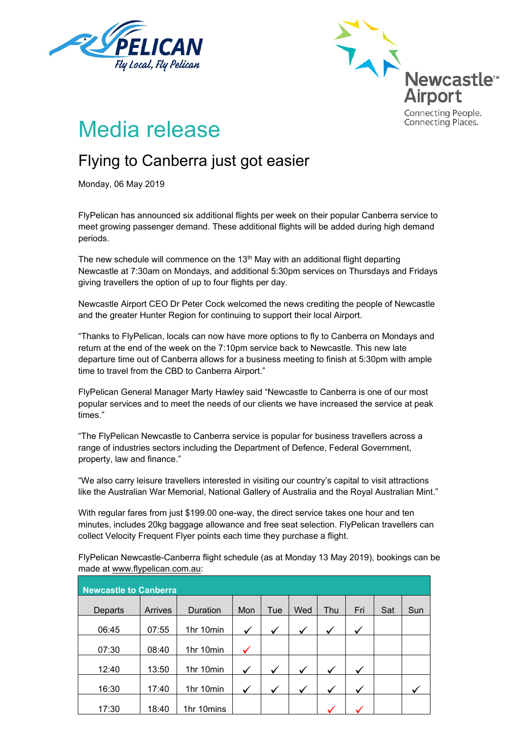



# Media release

## Flying to Canberra just got easier

Monday, 06 May 2019

FlyPelican has announced six additional flights per week on their popular Canberra service to meet growing passenger demand. These additional flights will be added during high demand periods.

The new schedule will commence on the 13<sup>th</sup> May with an additional flight departing Newcastle at 7:30am on Mondays, and additional 5:30pm services on Thursdays and Fridays giving travellers the option of up to four flights per day.

Newcastle Airport CEO Dr Peter Cock welcomed the news crediting the people of Newcastle and the greater Hunter Region for continuing to support their local Airport.

"Thanks to FlyPelican, locals can now have more options to fly to Canberra on Mondays and return at the end of the week on the 7:10pm service back to Newcastle. This new late departure time out of Canberra allows for a business meeting to finish at 5:30pm with ample time to travel from the CBD to Canberra Airport."

FlyPelican General Manager Marty Hawley said "Newcastle to Canberra is one of our most popular services and to meet the needs of our clients we have increased the service at peak times."

"The FlyPelican Newcastle to Canberra service is popular for business travellers across a range of industries sectors including the Department of Defence, Federal Government, property, law and finance."

"We also carry leisure travellers interested in visiting our country's capital to visit attractions like the Australian War Memorial, National Gallery of Australia and the Royal Australian Mint."

With regular fares from just \$199.00 one-way, the direct service takes one hour and ten minutes, includes 20kg baggage allowance and free seat selection. FlyPelican travellers can collect Velocity Frequent Flyer points each time they purchase a flight.

**Newcastle to Canberra** Departs | Arrives | Duration | Mon | Tue | Wed | Thu | Fri | Sat | Sun 06:45 | 07:55 | 1hr 10min | ✓ │ ✓ │ ✓ │ ✓ │ ✓ 07:30 08:40 1hr 10min 12:40 | 13:50 | 1hr 10min |  $\checkmark$  |  $\checkmark$  |  $\checkmark$  |  $\checkmark$  |  $\checkmark$  |  $\checkmark$ 16:30 | 17:40 | 1hr 10min |  $\checkmark$  |  $\checkmark$  |  $\checkmark$  |  $\checkmark$  |  $\checkmark$  |  $\checkmark$  |  $\checkmark$  |  $\checkmark$  |  $\checkmark$  |  $\checkmark$  |  $\checkmark$  |  $\checkmark$  |  $\checkmark$  |  $\checkmark$  |  $\checkmark$  |  $\checkmark$  |  $\checkmark$  |  $\checkmark$  |  $\checkmark$  |  $\checkmark$  |  $\checkmark$  |  $\checkmark$  |  $\checkmark$  |  $\checkmark$  |  $\$ 17:30 | 18:40 | 1hr 10mins

FlyPelican Newcastle-Canberra flight schedule (as at Monday 13 May 2019), bookings can be made at www.flypelican.com.au: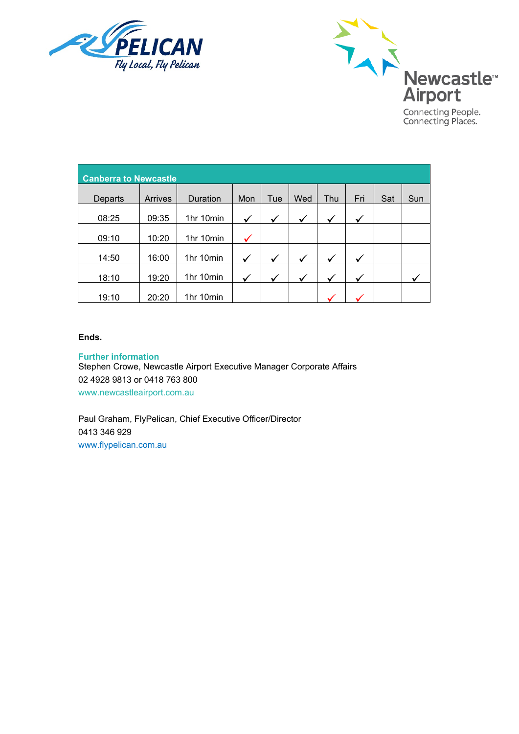



| <b>Canberra to Newcastle</b> |         |           |              |              |              |     |              |     |     |
|------------------------------|---------|-----------|--------------|--------------|--------------|-----|--------------|-----|-----|
| Departs                      | Arrives | Duration  | Mon          | Tue          | Wed          | Thu | Fri          | Sat | Sun |
| 08:25                        | 09:35   | 1hr 10min | ✓            | $\checkmark$ | $\checkmark$ | ✓   |              |     |     |
| 09:10                        | 10:20   | 1hr 10min |              |              |              |     |              |     |     |
| 14:50                        | 16:00   | 1hr 10min | $\checkmark$ | $\checkmark$ | $\checkmark$ | ✓   | $\checkmark$ |     |     |
| 18:10                        | 19:20   | 1hr 10min | ✓            | $\checkmark$ | ✓            | ✓   | $\checkmark$ |     |     |
| 19:10                        | 20:20   | 1hr 10min |              |              |              |     |              |     |     |

#### **Ends.**

**Further information** Stephen Crowe, Newcastle Airport Executive Manager Corporate Affairs 02 4928 9813 or 0418 763 800 www.newcastleairport.com.au

Paul Graham, FlyPelican, Chief Executive Officer/Director 0413 346 929 [www.flypelican.com.au](http://www.flypelican.com.au/)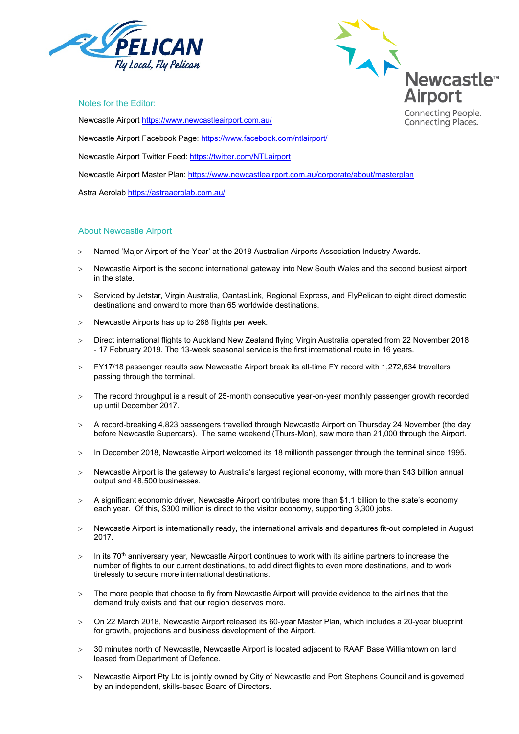



Notes for the Editor:

Newcastle Airport<https://www.newcastleairport.com.au/>

Newcastle Airport Facebook Page: <https://www.facebook.com/ntlairport/>

Newcastle Airport Twitter Feed:<https://twitter.com/NTLairport>

Newcastle Airport Master Plan:<https://www.newcastleairport.com.au/corporate/about/masterplan>

Astra Aerolab<https://astraaerolab.com.au/>

#### About Newcastle Airport

- > Named 'Major Airport of the Year' at the 2018 Australian Airports Association Industry Awards.
- > Newcastle Airport is the second international gateway into New South Wales and the second busiest airport in the state.
- > Serviced by Jetstar, Virgin Australia, QantasLink, Regional Express, and FlyPelican to eight direct domestic destinations and onward to more than 65 worldwide destinations.
- > Newcastle Airports has up to 288 flights per week.
- > Direct international flights to Auckland New Zealand flying Virgin Australia operated from 22 November 2018 - 17 February 2019. The 13-week seasonal service is the first international route in 16 years.
- > FY17/18 passenger results saw Newcastle Airport break its all-time FY record with 1,272,634 travellers passing through the terminal.
- > The record throughput is a result of 25-month consecutive year-on-year monthly passenger growth recorded up until December 2017.
- > A record-breaking 4,823 passengers travelled through Newcastle Airport on Thursday 24 November (the day before Newcastle Supercars). The same weekend (Thurs-Mon), saw more than 21,000 through the Airport.
- > In December 2018, Newcastle Airport welcomed its 18 millionth passenger through the terminal since 1995.
- > Newcastle Airport is the gateway to Australia's largest regional economy, with more than \$43 billion annual output and 48,500 businesses.
- > A significant economic driver, Newcastle Airport contributes more than \$1.1 billion to the state's economy each year. Of this, \$300 million is direct to the visitor economy, supporting 3,300 jobs.
- > Newcastle Airport is internationally ready, the international arrivals and departures fit-out completed in August 2017.
- $>$  In its 70<sup>th</sup> anniversary year, Newcastle Airport continues to work with its airline partners to increase the number of flights to our current destinations, to add direct flights to even more destinations, and to work tirelessly to secure more international destinations.
- > The more people that choose to fly from Newcastle Airport will provide evidence to the airlines that the demand truly exists and that our region deserves more.
- > On 22 March 2018, Newcastle Airport released its 60-year Master Plan, which includes a 20-year blueprint for growth, projections and business development of the Airport.
- > 30 minutes north of Newcastle, Newcastle Airport is located adjacent to RAAF Base Williamtown on land leased from Department of Defence.
- > Newcastle Airport Pty Ltd is jointly owned by City of Newcastle and Port Stephens Council and is governed by an independent, skills-based Board of Directors.